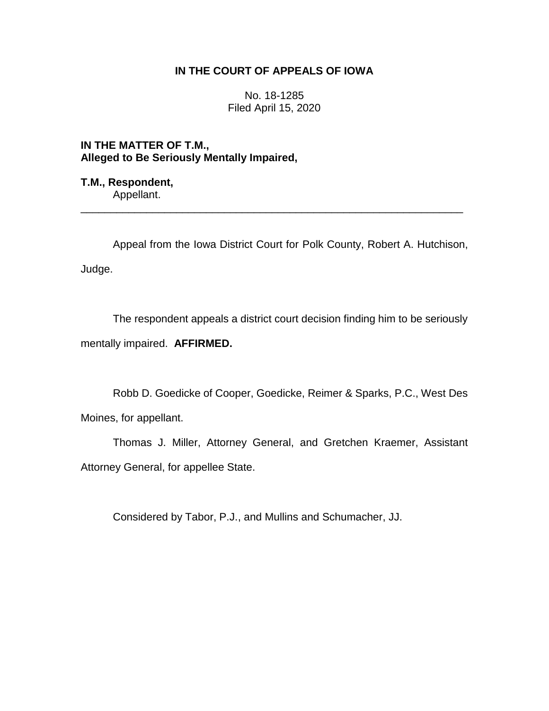# **IN THE COURT OF APPEALS OF IOWA**

No. 18-1285 Filed April 15, 2020

**IN THE MATTER OF T.M., Alleged to Be Seriously Mentally Impaired,**

**T.M., Respondent,** Appellant.

Appeal from the Iowa District Court for Polk County, Robert A. Hutchison, Judge.

\_\_\_\_\_\_\_\_\_\_\_\_\_\_\_\_\_\_\_\_\_\_\_\_\_\_\_\_\_\_\_\_\_\_\_\_\_\_\_\_\_\_\_\_\_\_\_\_\_\_\_\_\_\_\_\_\_\_\_\_\_\_\_\_

The respondent appeals a district court decision finding him to be seriously mentally impaired. **AFFIRMED.**

Robb D. Goedicke of Cooper, Goedicke, Reimer & Sparks, P.C., West Des Moines, for appellant.

Thomas J. Miller, Attorney General, and Gretchen Kraemer, Assistant Attorney General, for appellee State.

Considered by Tabor, P.J., and Mullins and Schumacher, JJ.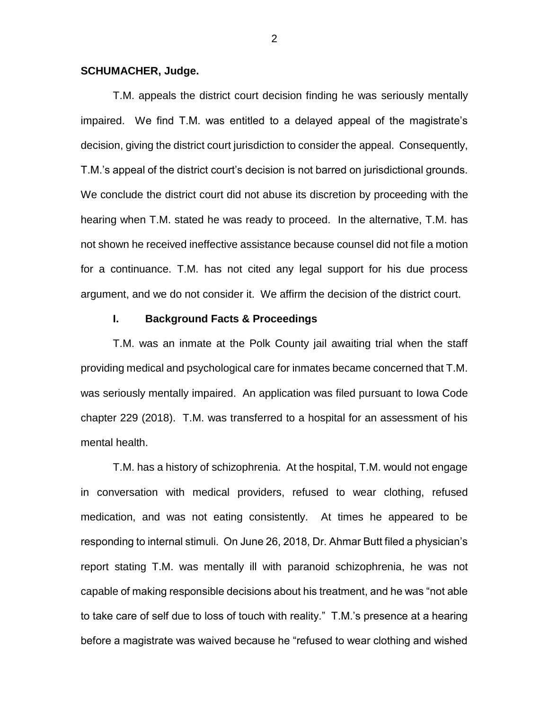#### **SCHUMACHER, Judge.**

T.M. appeals the district court decision finding he was seriously mentally impaired. We find T.M. was entitled to a delayed appeal of the magistrate's decision, giving the district court jurisdiction to consider the appeal. Consequently, T.M.'s appeal of the district court's decision is not barred on jurisdictional grounds. We conclude the district court did not abuse its discretion by proceeding with the hearing when T.M. stated he was ready to proceed. In the alternative, T.M. has not shown he received ineffective assistance because counsel did not file a motion for a continuance. T.M. has not cited any legal support for his due process argument, and we do not consider it. We affirm the decision of the district court.

#### **I. Background Facts & Proceedings**

T.M. was an inmate at the Polk County jail awaiting trial when the staff providing medical and psychological care for inmates became concerned that T.M. was seriously mentally impaired. An application was filed pursuant to Iowa Code chapter 229 (2018). T.M. was transferred to a hospital for an assessment of his mental health.

T.M. has a history of schizophrenia. At the hospital, T.M. would not engage in conversation with medical providers, refused to wear clothing, refused medication, and was not eating consistently. At times he appeared to be responding to internal stimuli. On June 26, 2018, Dr. Ahmar Butt filed a physician's report stating T.M. was mentally ill with paranoid schizophrenia, he was not capable of making responsible decisions about his treatment, and he was "not able to take care of self due to loss of touch with reality." T.M.'s presence at a hearing before a magistrate was waived because he "refused to wear clothing and wished

2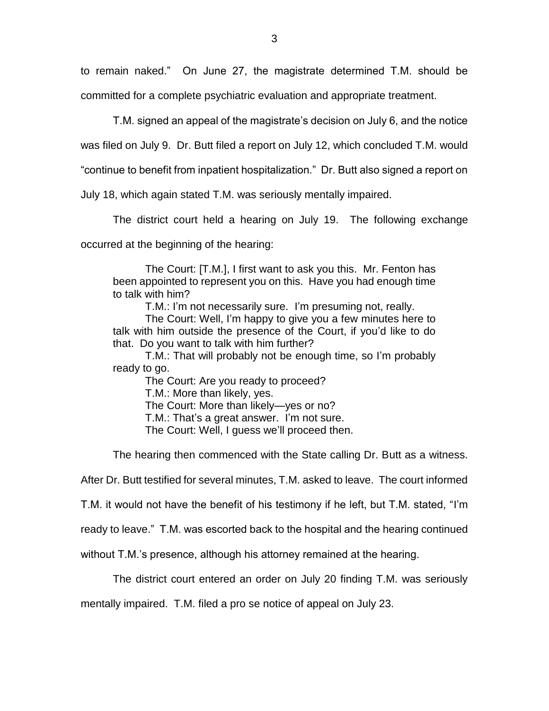to remain naked." On June 27, the magistrate determined T.M. should be committed for a complete psychiatric evaluation and appropriate treatment.

T.M. signed an appeal of the magistrate's decision on July 6, and the notice

was filed on July 9. Dr. Butt filed a report on July 12, which concluded T.M. would

"continue to benefit from inpatient hospitalization." Dr. Butt also signed a report on

July 18, which again stated T.M. was seriously mentally impaired.

The district court held a hearing on July 19. The following exchange

occurred at the beginning of the hearing:

The Court: [T.M.], I first want to ask you this. Mr. Fenton has been appointed to represent you on this. Have you had enough time to talk with him?

T.M.: I'm not necessarily sure. I'm presuming not, really.

The Court: Well, I'm happy to give you a few minutes here to talk with him outside the presence of the Court, if you'd like to do that. Do you want to talk with him further?

T.M.: That will probably not be enough time, so I'm probably ready to go.

The Court: Are you ready to proceed? T.M.: More than likely, yes. The Court: More than likely—yes or no? T.M.: That's a great answer. I'm not sure. The Court: Well, I guess we'll proceed then.

The hearing then commenced with the State calling Dr. Butt as a witness.

After Dr. Butt testified for several minutes, T.M. asked to leave. The court informed

T.M. it would not have the benefit of his testimony if he left, but T.M. stated, "I'm

ready to leave." T.M. was escorted back to the hospital and the hearing continued

without T.M.'s presence, although his attorney remained at the hearing.

The district court entered an order on July 20 finding T.M. was seriously

mentally impaired. T.M. filed a pro se notice of appeal on July 23.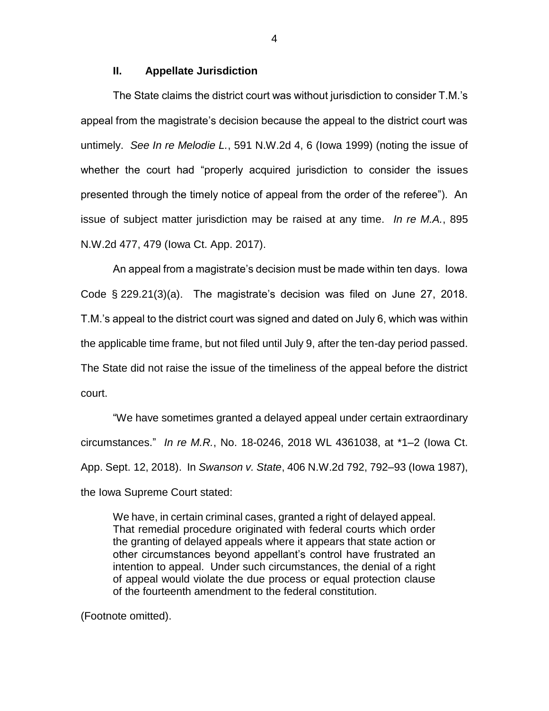### **II. Appellate Jurisdiction**

The State claims the district court was without jurisdiction to consider T.M.'s appeal from the magistrate's decision because the appeal to the district court was untimely. *See In re Melodie L.*, 591 N.W.2d 4, 6 (Iowa 1999) (noting the issue of whether the court had "properly acquired jurisdiction to consider the issues presented through the timely notice of appeal from the order of the referee"). An issue of subject matter jurisdiction may be raised at any time. *In re M.A.*, 895 N.W.2d 477, 479 (Iowa Ct. App. 2017).

An appeal from a magistrate's decision must be made within ten days. Iowa Code § 229.21(3)(a). The magistrate's decision was filed on June 27, 2018. T.M.'s appeal to the district court was signed and dated on July 6, which was within the applicable time frame, but not filed until July 9, after the ten-day period passed. The State did not raise the issue of the timeliness of the appeal before the district court.

"We have sometimes granted a delayed appeal under certain extraordinary circumstances." *In re M.R.*, No. 18-0246, 2018 WL 4361038, at \*1–2 (Iowa Ct. App. Sept. 12, 2018). In *Swanson v. State*, 406 N.W.2d 792, 792–93 (Iowa 1987), the Iowa Supreme Court stated:

We have, in certain criminal cases, granted a right of delayed appeal. That remedial procedure originated with federal courts which order the granting of delayed appeals where it appears that state action or other circumstances beyond appellant's control have frustrated an intention to appeal. Under such circumstances, the denial of a right of appeal would violate the due process or equal protection clause of the fourteenth amendment to the federal constitution.

(Footnote omitted).

4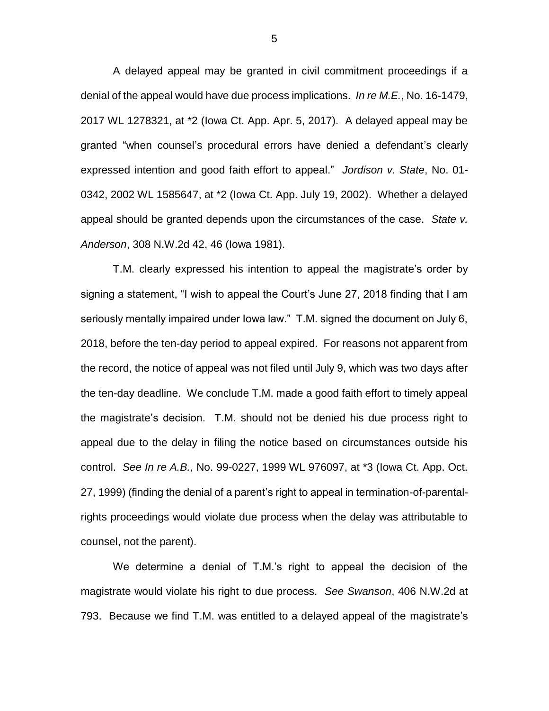A delayed appeal may be granted in civil commitment proceedings if a denial of the appeal would have due process implications. *In re M.E.*, No. 16-1479, 2017 WL 1278321, at \*2 (Iowa Ct. App. Apr. 5, 2017). A delayed appeal may be granted "when counsel's procedural errors have denied a defendant's clearly expressed intention and good faith effort to appeal." *Jordison v. State*, No. 01- 0342, 2002 WL 1585647, at \*2 (Iowa Ct. App. July 19, 2002). Whether a delayed appeal should be granted depends upon the circumstances of the case. *State v. Anderson*, 308 N.W.2d 42, 46 (Iowa 1981).

T.M. clearly expressed his intention to appeal the magistrate's order by signing a statement, "I wish to appeal the Court's June 27, 2018 finding that I am seriously mentally impaired under Iowa law." T.M. signed the document on July 6, 2018, before the ten-day period to appeal expired. For reasons not apparent from the record, the notice of appeal was not filed until July 9, which was two days after the ten-day deadline. We conclude T.M. made a good faith effort to timely appeal the magistrate's decision. T.M. should not be denied his due process right to appeal due to the delay in filing the notice based on circumstances outside his control. *See In re A.B.*, No. 99-0227, 1999 WL 976097, at \*3 (Iowa Ct. App. Oct. 27, 1999) (finding the denial of a parent's right to appeal in termination-of-parentalrights proceedings would violate due process when the delay was attributable to counsel, not the parent).

We determine a denial of T.M.'s right to appeal the decision of the magistrate would violate his right to due process. *See Swanson*, 406 N.W.2d at 793. Because we find T.M. was entitled to a delayed appeal of the magistrate's

5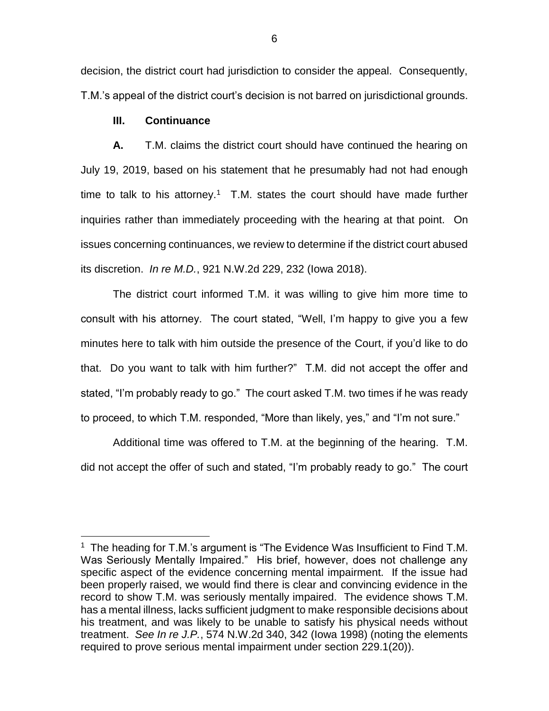decision, the district court had jurisdiction to consider the appeal. Consequently, T.M.'s appeal of the district court's decision is not barred on jurisdictional grounds.

## **III. Continuance**

 $\overline{a}$ 

**A.** T.M. claims the district court should have continued the hearing on July 19, 2019, based on his statement that he presumably had not had enough time to talk to his attorney.<sup>1</sup> T.M. states the court should have made further inquiries rather than immediately proceeding with the hearing at that point. On issues concerning continuances, we review to determine if the district court abused its discretion. *In re M.D.*, 921 N.W.2d 229, 232 (Iowa 2018).

The district court informed T.M. it was willing to give him more time to consult with his attorney. The court stated, "Well, I'm happy to give you a few minutes here to talk with him outside the presence of the Court, if you'd like to do that. Do you want to talk with him further?" T.M. did not accept the offer and stated, "I'm probably ready to go." The court asked T.M. two times if he was ready to proceed, to which T.M. responded, "More than likely, yes," and "I'm not sure."

Additional time was offered to T.M. at the beginning of the hearing. T.M. did not accept the offer of such and stated, "I'm probably ready to go." The court

<sup>&</sup>lt;sup>1</sup> The heading for T.M.'s argument is "The Evidence Was Insufficient to Find T.M. Was Seriously Mentally Impaired." His brief, however, does not challenge any specific aspect of the evidence concerning mental impairment. If the issue had been properly raised, we would find there is clear and convincing evidence in the record to show T.M. was seriously mentally impaired. The evidence shows T.M. has a mental illness, lacks sufficient judgment to make responsible decisions about his treatment, and was likely to be unable to satisfy his physical needs without treatment. *See In re J.P.*, 574 N.W.2d 340, 342 (Iowa 1998) (noting the elements required to prove serious mental impairment under section 229.1(20)).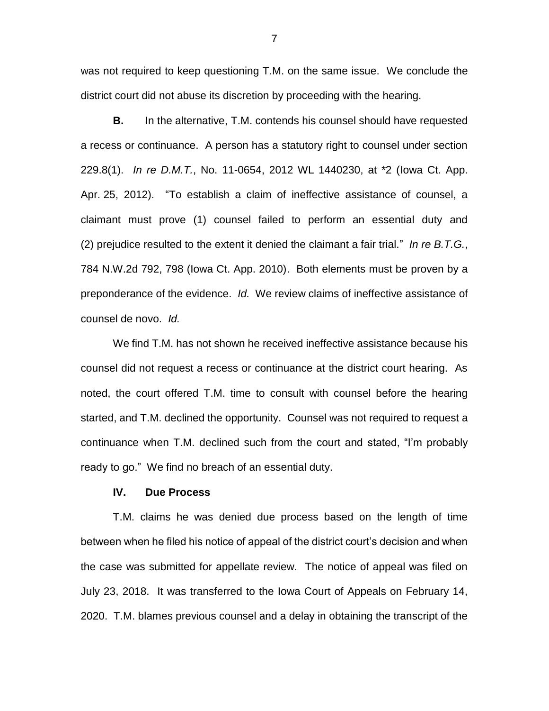was not required to keep questioning T.M. on the same issue. We conclude the district court did not abuse its discretion by proceeding with the hearing.

**B.** In the alternative, T.M. contends his counsel should have requested a recess or continuance. A person has a statutory right to counsel under section 229.8(1). *In re D.M.T.*, No. 11-0654, 2012 WL 1440230, at \*2 (Iowa Ct. App. Apr. 25, 2012). "To establish a claim of ineffective assistance of counsel, a claimant must prove (1) counsel failed to perform an essential duty and (2) prejudice resulted to the extent it denied the claimant a fair trial." *In re B.T.G.*, 784 N.W.2d 792, 798 (Iowa Ct. App. 2010). Both elements must be proven by a preponderance of the evidence. *Id.* We review claims of ineffective assistance of counsel de novo. *Id.*

We find T.M. has not shown he received ineffective assistance because his counsel did not request a recess or continuance at the district court hearing. As noted, the court offered T.M. time to consult with counsel before the hearing started, and T.M. declined the opportunity. Counsel was not required to request a continuance when T.M. declined such from the court and stated, "I'm probably ready to go." We find no breach of an essential duty.

## **IV. Due Process**

T.M. claims he was denied due process based on the length of time between when he filed his notice of appeal of the district court's decision and when the case was submitted for appellate review. The notice of appeal was filed on July 23, 2018. It was transferred to the Iowa Court of Appeals on February 14, 2020. T.M. blames previous counsel and a delay in obtaining the transcript of the